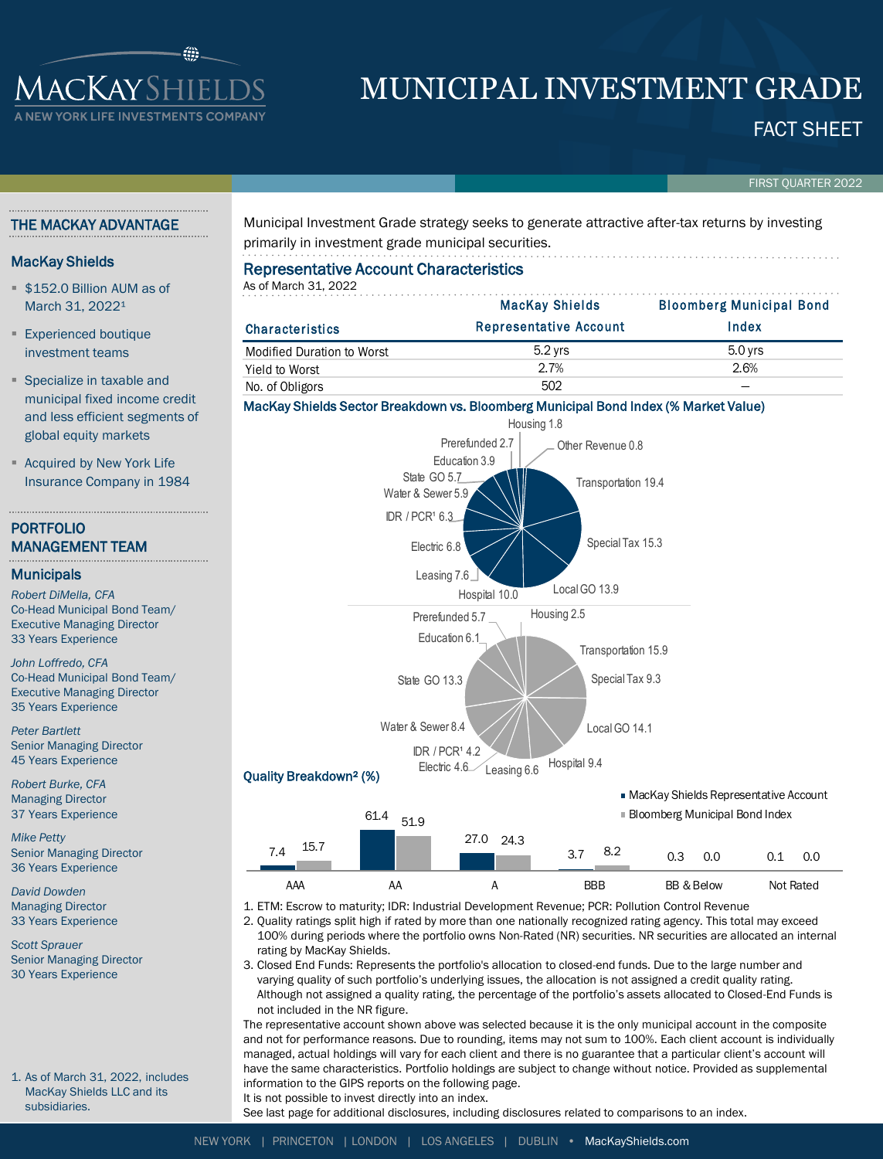

# MUNICIPAL INVESTMENT GRADE

FACT SHEET

FIRST QUARTER 2022

# THE MACKAY ADVANTAGE

# MacKay Shields

- **\$152.0 Billion AUM as of** March 31, 2022<sup>1</sup>
- **Experienced boutique** investment teams
- **Specialize in taxable and** municipal fixed income credit and less efficient segments of global equity markets
- **Acquired by New York Life** Insurance Company in 1984

# PORTFOLIO MANAGEMENT TEAM

## **Municipals**

*Robert DiMella, CFA* Co-Head Municipal Bond Team/ Executive Managing Director 33 Years Experience

*John Loffredo, CFA* Co-Head Municipal Bond Team/ Executive Managing Director 35 Years Experience

*Peter Bartlett* Senior Managing Director 45 Years Experience

*Robert Burke, CFA* Managing Director 37 Years Experience

*Mike Petty* Senior Managing Director 36 Years Experience

*David Dowden* Managing Director 33 Years Experience

*Scott Sprauer* Senior Managing Director 30 Years Experience

1. As of March 31, 2022, includes MacKay Shields LLC and its subsidiaries.

Municipal Investment Grade strategy seeks to generate attractive after-tax returns by investing primarily in investment grade municipal securities.

| <b>Representative Account Characteristics</b><br>As of March 31, 2022 |                               |                                          |  |  |  |  |  |  |  |
|-----------------------------------------------------------------------|-------------------------------|------------------------------------------|--|--|--|--|--|--|--|
|                                                                       | <b>MacKay Shields</b>         | <b>Bloomberg Municipal Bond</b><br>Index |  |  |  |  |  |  |  |
| <b>Characteristics</b>                                                | <b>Representative Account</b> |                                          |  |  |  |  |  |  |  |
| <b>Modified Duration to Worst</b>                                     | $5.2$ yrs                     | 5.0 yrs                                  |  |  |  |  |  |  |  |
| Yield to Worst                                                        | 2.7%                          | 2.6%                                     |  |  |  |  |  |  |  |
| No. of Obligors                                                       | 502                           |                                          |  |  |  |  |  |  |  |

## MacKay Shields Sector Breakdown vs. Bloomberg Municipal Bond Index (% Market Value)



1. ETM: Escrow to maturity; IDR: Industrial Development Revenue; PCR: Pollution Control Revenue AAA AA A BBB BB & Below Not Rated

2. Quality ratings split high if rated by more than one nationally recognized rating agency. This total may exceed 100% during periods where the portfolio owns Non-Rated (NR) securities. NR securities are allocated an internal

rating by MacKay Shields. 3. Closed End Funds: Represents the portfolio's allocation to closed-end funds. Due to the large number and varying quality of such portfolio's underlying issues, the allocation is not assigned a credit quality rating. Although not assigned a quality rating, the percentage of the portfolio's assets allocated to Closed-End Funds is not included in the NR figure.

The representative account shown above was selected because it is the only municipal account in the composite and not for performance reasons. Due to rounding, items may not sum to 100%. Each client account is individually managed, actual holdings will vary for each client and there is no guarantee that a particular client's account will have the same characteristics. Portfolio holdings are subject to change without notice. Provided as supplemental information to the GIPS reports on the following page.

It is not possible to invest directly into an index.

See last page for additional disclosures, including disclosures related to comparisons to an index.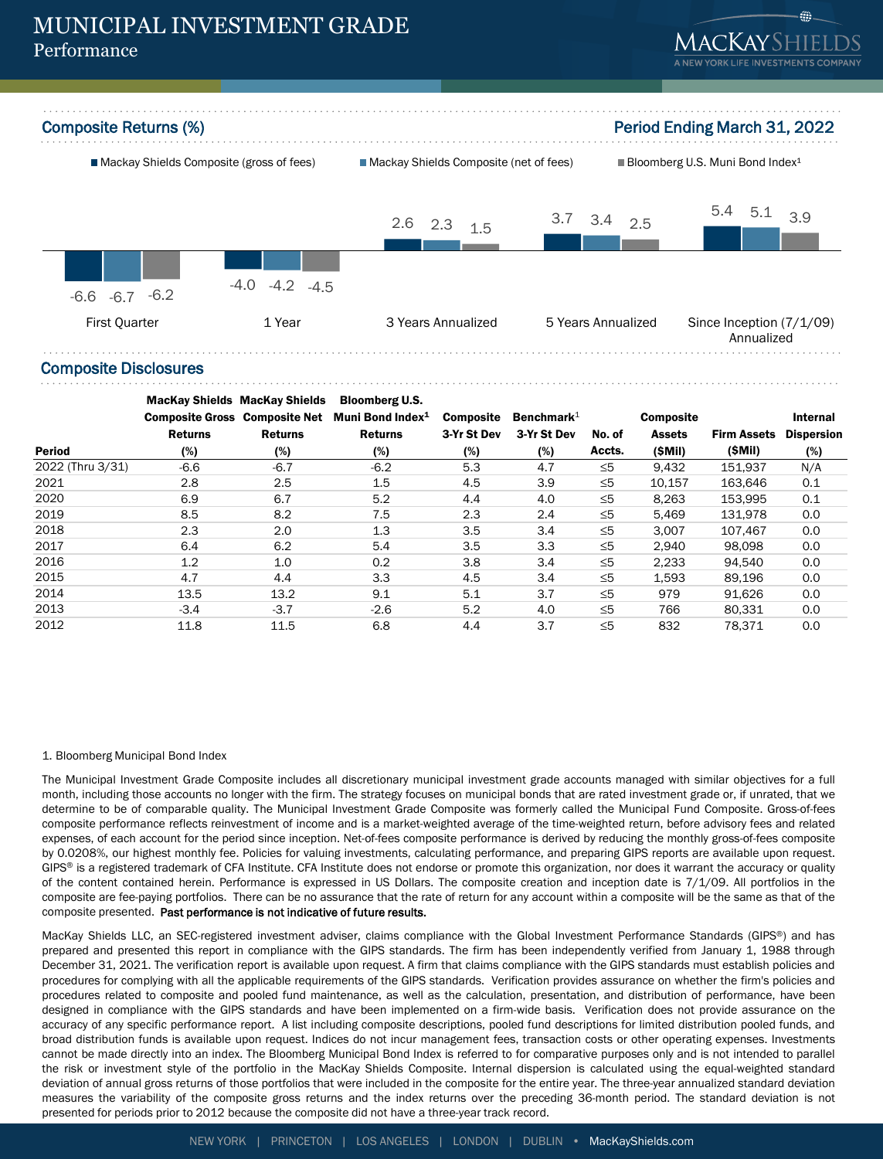



#### Composite Disclosures

|                  | <b>MacKay Shields MacKay Shields</b> |                | <b>Bloomberg U.S.</b>        |                  |                               |          |                  |                    |                   |
|------------------|--------------------------------------|----------------|------------------------------|------------------|-------------------------------|----------|------------------|--------------------|-------------------|
|                  | <b>Composite Gross Composite Net</b> |                | Muni Bond Index <sup>1</sup> | <b>Composite</b> | <b>Benchmark</b> <sup>1</sup> |          | <b>Composite</b> |                    | Internal          |
|                  | <b>Returns</b>                       | <b>Returns</b> | <b>Returns</b>               | 3-Yr St Dev      | 3-Yr St Dev                   | No. of   | <b>Assets</b>    | <b>Firm Assets</b> | <b>Dispersion</b> |
| <b>Period</b>    | (%)                                  | (%)            | (%)                          | (%)              | (%)                           | Accts.   | (SMil)           | (SMil)             | (%)               |
| 2022 (Thru 3/31) | $-6.6$                               | $-6.7$         | $-6.2$                       | 5.3              | 4.7                           | $\leq 5$ | 9,432            | 151.937            | N/A               |
| 2021             | 2.8                                  | 2.5            | 1.5                          | 4.5              | 3.9                           | $\leq 5$ | 10,157           | 163.646            | 0.1               |
| 2020             | 6.9                                  | 6.7            | 5.2                          | 4.4              | 4.0                           | $\leq 5$ | 8.263            | 153.995            | 0.1               |
| 2019             | 8.5                                  | 8.2            | 7.5                          | 2.3              | 2.4                           | $\leq 5$ | 5,469            | 131.978            | 0.0               |
| 2018             | 2.3                                  | 2.0            | 1.3                          | 3.5              | 3.4                           | $\leq 5$ | 3.007            | 107.467            | 0.0               |
| 2017             | 6.4                                  | 6.2            | 5.4                          | 3.5              | 3.3                           | $\leq 5$ | 2.940            | 98.098             | 0.0               |
| 2016             | 1.2                                  | 1.0            | 0.2                          | 3.8              | 3.4                           | $\leq 5$ | 2,233            | 94.540             | 0.0               |
| 2015             | 4.7                                  | 4.4            | 3.3                          | 4.5              | 3.4                           | $\leq 5$ | 1.593            | 89.196             | 0.0               |
| 2014             | 13.5                                 | 13.2           | 9.1                          | 5.1              | 3.7                           | $\leq 5$ | 979              | 91.626             | 0.0               |
| 2013             | $-3.4$                               | $-3.7$         | $-2.6$                       | 5.2              | 4.0                           | $\leq 5$ | 766              | 80,331             | 0.0               |
| 2012             | 11.8                                 | 11.5           | 6.8                          | 4.4              | 3.7                           | $\leq 5$ | 832              | 78.371             | 0.0               |

#### 1. Bloomberg Municipal Bond Index

The Municipal Investment Grade Composite includes all discretionary municipal investment grade accounts managed with similar objectives for a full month, including those accounts no longer with the firm. The strategy focuses on municipal bonds that are rated investment grade or, if unrated, that we determine to be of comparable quality. The Municipal Investment Grade Composite was formerly called the Municipal Fund Composite. Gross-of-fees composite performance reflects reinvestment of income and is a market-weighted average of the time-weighted return, before advisory fees and related expenses, of each account for the period since inception. Net-of-fees composite performance is derived by reducing the monthly gross-of-fees composite by 0.0208%, our highest monthly fee. Policies for valuing investments, calculating performance, and preparing GIPS reports are available upon request. GIPS® is a registered trademark of CFA Institute. CFA Institute does not endorse or promote this organization, nor does it warrant the accuracy or quality of the content contained herein. Performance is expressed in US Dollars. The composite creation and inception date is 7/1/09. All portfolios in the composite are fee-paying portfolios. There can be no assurance that the rate of return for any account within a composite will be the same as that of the composite presented. Past performance is not indicative of future results.

MacKay Shields LLC, an SEC-registered investment adviser, claims compliance with the Global Investment Performance Standards (GIPS®) and has prepared and presented this report in compliance with the GIPS standards. The firm has been independently verified from January 1, 1988 through December 31, 2021. The verification report is available upon request. A firm that claims compliance with the GIPS standards must establish policies and procedures for complying with all the applicable requirements of the GIPS standards. Verification provides assurance on whether the firm's policies and procedures related to composite and pooled fund maintenance, as well as the calculation, presentation, and distribution of performance, have been designed in compliance with the GIPS standards and have been implemented on a firm-wide basis. Verification does not provide assurance on the accuracy of any specific performance report. A list including composite descriptions, pooled fund descriptions for limited distribution pooled funds, and broad distribution funds is available upon request. Indices do not incur management fees, transaction costs or other operating expenses. Investments cannot be made directly into an index. The Bloomberg Municipal Bond Index is referred to for comparative purposes only and is not intended to parallel the risk or investment style of the portfolio in the MacKay Shields Composite. Internal dispersion is calculated using the equal-weighted standard deviation of annual gross returns of those portfolios that were included in the composite for the entire year. The three-year annualized standard deviation measures the variability of the composite gross returns and the index returns over the preceding 36-month period. The standard deviation is not presented for periods prior to 2012 because the composite did not have a three-year track record.